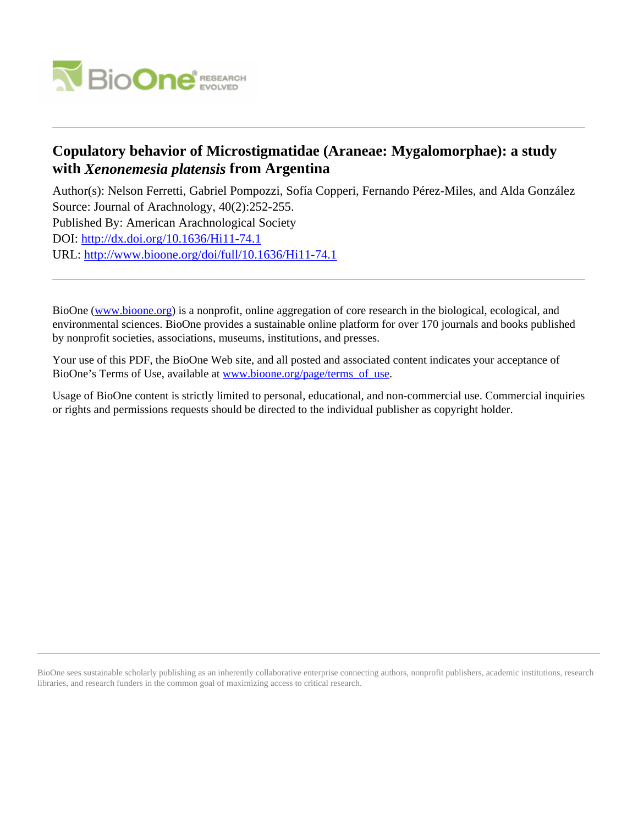

# **Copulatory behavior of Microstigmatidae (Araneae: Mygalomorphae): a study with** *Xenonemesia platensis* **from Argentina**

Author(s): Nelson Ferretti, Gabriel Pompozzi, Sofía Copperi, Fernando Pérez-Miles, and Alda González Source: Journal of Arachnology, 40(2):252-255. Published By: American Arachnological Society DOI:<http://dx.doi.org/10.1636/Hi11-74.1> URL: <http://www.bioone.org/doi/full/10.1636/Hi11-74.1>

BioOne [\(www.bioone.org\)](http://www.bioone.org) is a nonprofit, online aggregation of core research in the biological, ecological, and environmental sciences. BioOne provides a sustainable online platform for over 170 journals and books published by nonprofit societies, associations, museums, institutions, and presses.

Your use of this PDF, the BioOne Web site, and all posted and associated content indicates your acceptance of BioOne's Terms of Use, available at [www.bioone.org/page/terms\\_of\\_use.](http://www.bioone.org/page/terms_of_use)

Usage of BioOne content is strictly limited to personal, educational, and non-commercial use. Commercial inquiries or rights and permissions requests should be directed to the individual publisher as copyright holder.

BioOne sees sustainable scholarly publishing as an inherently collaborative enterprise connecting authors, nonprofit publishers, academic institutions, research libraries, and research funders in the common goal of maximizing access to critical research.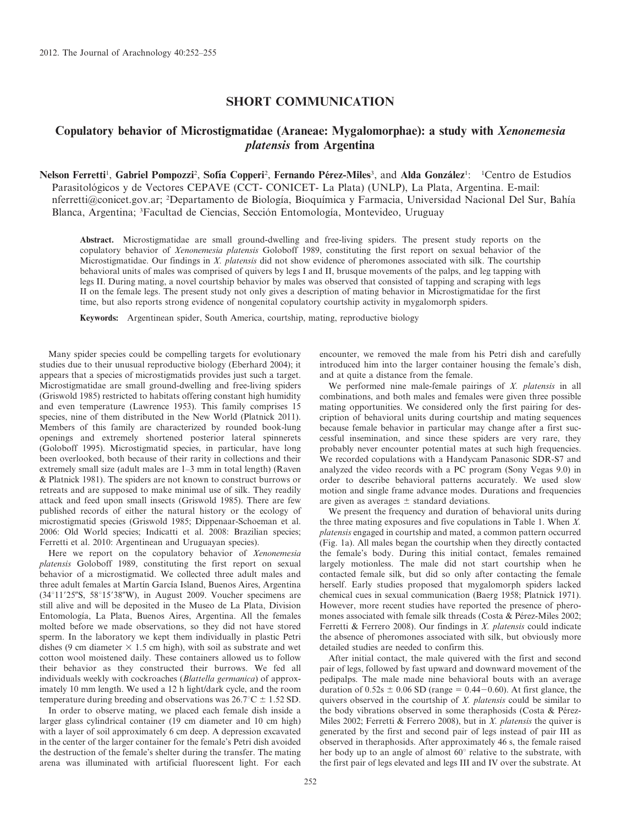### SHORT COMMUNICATION

## Copulatory behavior of Microstigmatidae (Araneae: Mygalomorphae): a study with Xenonemesia platensis from Argentina

Nelson Ferretti<sup>1</sup>, Gabriel Pompozzi<sup>2</sup>, Sofía Copperi<sup>2</sup>, Fernando Pérez-Miles<sup>3</sup>, and Alda González<sup>1</sup>: <sup>1</sup>Centro de Estudios Parasitológicos y de Vectores CEPAVE (CCT- CONICET- La Plata) (UNLP), La Plata, Argentina. E-mail: nferretti@conicet.gov.ar; <sup>2</sup>Departamento de Biología, Bioquímica y Farmacia, Universidad Nacional Del Sur, Bahía Blanca, Argentina; <sup>3</sup> Facultad de Ciencias, Sección Entomología, Montevideo, Uruguay

Abstract. Microstigmatidae are small ground-dwelling and free-living spiders. The present study reports on the copulatory behavior of Xenonemesia platensis Goloboff 1989, constituting the first report on sexual behavior of the Microstigmatidae. Our findings in X. platensis did not show evidence of pheromones associated with silk. The courtship behavioral units of males was comprised of quivers by legs I and II, brusque movements of the palps, and leg tapping with legs II. During mating, a novel courtship behavior by males was observed that consisted of tapping and scraping with legs II on the female legs. The present study not only gives a description of mating behavior in Microstigmatidae for the first time, but also reports strong evidence of nongenital copulatory courtship activity in mygalomorph spiders.

Keywords: Argentinean spider, South America, courtship, mating, reproductive biology

Many spider species could be compelling targets for evolutionary studies due to their unusual reproductive biology (Eberhard 2004); it appears that a species of microstigmatids provides just such a target. Microstigmatidae are small ground-dwelling and free-living spiders (Griswold 1985) restricted to habitats offering constant high humidity and even temperature (Lawrence 1953). This family comprises 15 species, nine of them distributed in the New World (Platnick 2011). Members of this family are characterized by rounded book-lung openings and extremely shortened posterior lateral spinnerets (Goloboff 1995). Microstigmatid species, in particular, have long been overlooked, both because of their rarity in collections and their extremely small size (adult males are 1–3 mm in total length) (Raven & Platnick 1981). The spiders are not known to construct burrows or retreats and are supposed to make minimal use of silk. They readily attack and feed upon small insects (Griswold 1985). There are few published records of either the natural history or the ecology of microstigmatid species (Griswold 1985; Dippenaar-Schoeman et al. 2006: Old World species; Indicatti et al. 2008: Brazilian species; Ferretti et al. 2010: Argentinean and Uruguayan species).

Here we report on the copulatory behavior of *Xenonemesia* platensis Goloboff 1989, constituting the first report on sexual behavior of a microstigmatid. We collected three adult males and three adult females at Martín García Island, Buenos Aires, Argentina (34 $^{\circ}11'25''S$ , 58 $^{\circ}15'38''W$ ), in August 2009. Voucher specimens are still alive and will be deposited in the Museo de La Plata, Division Entomología, La Plata, Buenos Aires, Argentina. All the females molted before we made observations, so they did not have stored sperm. In the laboratory we kept them individually in plastic Petri dishes (9 cm diameter  $\times$  1.5 cm high), with soil as substrate and wet cotton wool moistened daily. These containers allowed us to follow their behavior as they constructed their burrows. We fed all individuals weekly with cockroaches (Blattella germanica) of approximately 10 mm length. We used a 12 h light/dark cycle, and the room temperature during breeding and observations was  $26.7^{\circ}\text{C} \pm 1.52$  SD.

In order to observe mating, we placed each female dish inside a larger glass cylindrical container (19 cm diameter and 10 cm high) with a layer of soil approximately 6 cm deep. A depression excavated in the center of the larger container for the female's Petri dish avoided the destruction of the female's shelter during the transfer. The mating arena was illuminated with artificial fluorescent light. For each

encounter, we removed the male from his Petri dish and carefully introduced him into the larger container housing the female's dish, and at quite a distance from the female.

We performed nine male-female pairings of X. platensis in all combinations, and both males and females were given three possible mating opportunities. We considered only the first pairing for description of behavioral units during courtship and mating sequences because female behavior in particular may change after a first successful insemination, and since these spiders are very rare, they probably never encounter potential mates at such high frequencies. We recorded copulations with a Handycam Panasonic SDR-S7 and analyzed the video records with a PC program (Sony Vegas 9.0) in order to describe behavioral patterns accurately. We used slow motion and single frame advance modes. Durations and frequencies are given as averages  $\pm$  standard deviations.

We present the frequency and duration of behavioral units during the three mating exposures and five copulations in Table 1. When X. platensis engaged in courtship and mated, a common pattern occurred (Fig. 1a). All males began the courtship when they directly contacted the female's body. During this initial contact, females remained largely motionless. The male did not start courtship when he contacted female silk, but did so only after contacting the female herself. Early studies proposed that mygalomorph spiders lacked chemical cues in sexual communication (Baerg 1958; Platnick 1971). However, more recent studies have reported the presence of pheromones associated with female silk threads (Costa & Pérez-Miles 2002; Ferretti & Ferrero 2008). Our findings in X. platensis could indicate the absence of pheromones associated with silk, but obviously more detailed studies are needed to confirm this.

After initial contact, the male quivered with the first and second pair of legs, followed by fast upward and downward movement of the pedipalps. The male made nine behavioral bouts with an average duration of  $0.52s \pm 0.06$  SD (range = 0.44-0.60). At first glance, the quivers observed in the courtship of  $X$ . platensis could be similar to the body vibrations observed in some theraphosids (Costa  $&$  Pérez-Miles 2002; Ferretti & Ferrero 2008), but in X. platensis the quiver is generated by the first and second pair of legs instead of pair III as observed in theraphosids. After approximately 46 s, the female raised her body up to an angle of almost  $60^\circ$  relative to the substrate, with the first pair of legs elevated and legs III and IV over the substrate. At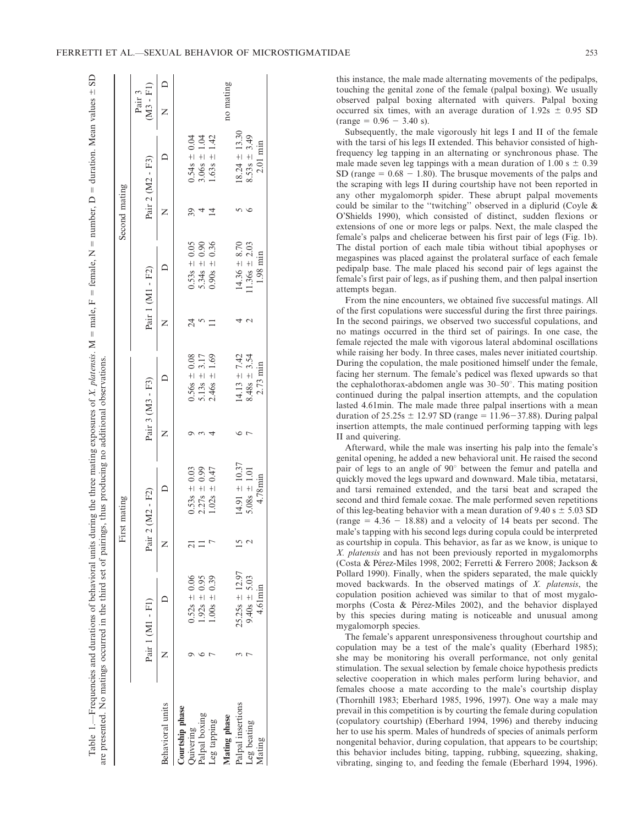| FERRETTI ET AL.—SEXUAL BEHAVIOR OF MICROSTIGMATIDAE | ر ر ب |  |
|-----------------------------------------------------|-------|--|
|-----------------------------------------------------|-------|--|

|                   |                    |   | First mating      |                                    |    |                                | Second mating |                                                    |                       |
|-------------------|--------------------|---|-------------------|------------------------------------|----|--------------------------------|---------------|----------------------------------------------------|-----------------------|
|                   | Pair 1 (M1 - F1)   |   | Pair 2 (M2 - F2)  | Pair 3 (M3 - F3)                   |    | Pair 1 (M1 - F2)               |               | Pair 2 (M2 - F3)                                   | $(M3 - FI)$<br>Pair 3 |
| Behavioral units  |                    |   |                   |                                    |    |                                |               |                                                    | $\bigcap$             |
| Courtship phase   |                    |   |                   |                                    |    |                                |               |                                                    |                       |
| guivering         | $0.52s = 0.06$     |   | $0.53s = 0.03$    | $0.56s = 0.08$                     | 24 |                                |               |                                                    |                       |
| alpal boxing      | $1.92s = 0.95$     |   | $2.27s = 0.99$    | $5.13s = 3.17$<br>2.46s $\pm$ 1.69 |    | $0.53s = 0.05$<br>5.34s ± 0.90 |               | $0.54s = 0.04$<br>$3.06s = 1.04$<br>$1.63s = 1.42$ |                       |
| eg tapping        | $1.00s = 0.39$     |   | $1.02s = 0.47$    |                                    |    | $0.90s = 0.36$                 | $\vec{4}$     |                                                    |                       |
| Mating phase      |                    |   |                   |                                    |    |                                |               |                                                    | no mating             |
| Palpal insertions | $25.25s \pm 12.97$ | ŋ | $14.91 \pm 10.37$ | $14.13 \pm 7.42$                   |    | $14.36 \pm 8.70$               |               | $18.24 \pm 13.30$                                  |                       |
| eg beating        | $9.40s = 5.03$     |   | $5.08s \pm 1.01$  | $8.48s = 3.54$                     |    | $1.36s = 2.03$                 |               | $8.53s = 3.49$                                     |                       |
| Mating            | 4.61 min           |   | 4.78min           | 2.73 min                           |    | 1.98 min                       |               | 2.01 min                                           |                       |

Table 1.—Frequencies and durations of behavioral units during the three mating exposures of X. platensis. M

5 male, F

female, N

number, D

duration. Mean values

 $\frac{1}{2}$ 

this instance, the male made alternating movements of the pedipalps, touching the genital zone of the female (palpal boxing). We usually observed palpal boxing alternated with quivers. Palpal boxing occurred six times, with an average duration of  $1.92s \pm 0.95 SD$  $(range = 0.96 - 3.40 s).$ 

Subsequently, the male vigorously hit legs I and II of the female with the tarsi of his legs II extended. This behavior consisted of highfrequency leg tapping in an alternating or synchronous phase. The male made seven leg tappings with a mean duration of 1.00 s  $\pm$  0.39 SD (range  $= 0.68 - 1.80$ ). The brusque movements of the palps and the scraping with legs II during courtship have not been reported in any other mygalomorph spider. These abrupt palpal movements could be similar to the ''twitching'' observed in a diplurid (Coyle & O'Shields 1990), which consisted of distinct, sudden flexions or extensions of one or more legs or palps. Next, the male clasped the female's palps and chelicerae between his first pair of legs (Fig. 1b). The distal portion of each male tibia without tibial apophyses or megaspines was placed against the prolateral surface of each female pedipalp base. The male placed his second pair of legs against the female's first pair of legs, as if pushing them, and then palpal insertion attempts began.

From the nine encounters, we obtained five successful matings. All of the first copulations were successful during the first three pairings. In the second pairings, we observed two successful copulations, and no matings occurred in the third set of pairings. In one case, the female rejected the male with vigorous lateral abdominal oscillations while raising her body. In three cases, males never initiated courtship. During the copulation, the male positioned himself under the female, facing her sternum. The female's pedicel was flexed upwards so that the cephalothorax-abdomen angle was  $30-50^\circ$ . This mating position continued during the palpal insertion attempts, and the copulation lasted 4.61min. The male made three palpal insertions with a mean duration of  $25.25s \pm 12.97$  SD (range = 11.96-37.88). During palpal insertion attempts, the male continued performing tapping with legs II and quivering.

Afterward, while the male was inserting his palp into the female's genital opening, he added a new behavioral unit. He raised the second pair of legs to an angle of 90° between the femur and patella and quickly moved the legs upward and downward. Male tibia, metatarsi, and tarsi remained extended, and the tarsi beat and scraped the second and third female coxae. The male performed seven repetitions of this leg-beating behavior with a mean duration of 9.40 s  $\pm$  5.03 SD (range  $= 4.36 - 18.88$ ) and a velocity of 14 beats per second. The male's tapping with his second legs during copula could be interpreted as courtship in copula. This behavior, as far as we know, is unique to X. platensis and has not been previously reported in mygalomorphs (Costa & Pérez-Miles 1998, 2002; Ferretti & Ferrero 2008; Jackson & Pollard 1990). Finally, when the spiders separated, the male quickly moved backwards. In the observed matings of X. platensis, the copulation position achieved was similar to that of most mygalomorphs (Costa  $\&$  Pérez-Miles 2002), and the behavior displayed by this species during mating is noticeable and unusual among mygalomorph species.

The female's apparent unresponsiveness throughout courtship and copulation may be a test of the male's quality (Eberhard 1985); she may be monitoring his overall performance, not only genital stimulation. The sexual selection by female choice hypothesis predicts selective cooperation in which males perform luring behavior, and females choose a mate according to the male's courtship display (Thornhill 1983; Eberhard 1985, 1996, 1997). One way a male may prevail in this competition is by courting the female during copulation (copulatory courtship) (Eberhard 1994, 1996) and thereby inducing her to use his sperm. Males of hundreds of species of animals perform nongenital behavior, during copulation, that appears to be courtship; this behavior includes biting, tapping, rubbing, squeezing, shaking, vibrating, singing to, and feeding the female (Eberhard 1994, 1996).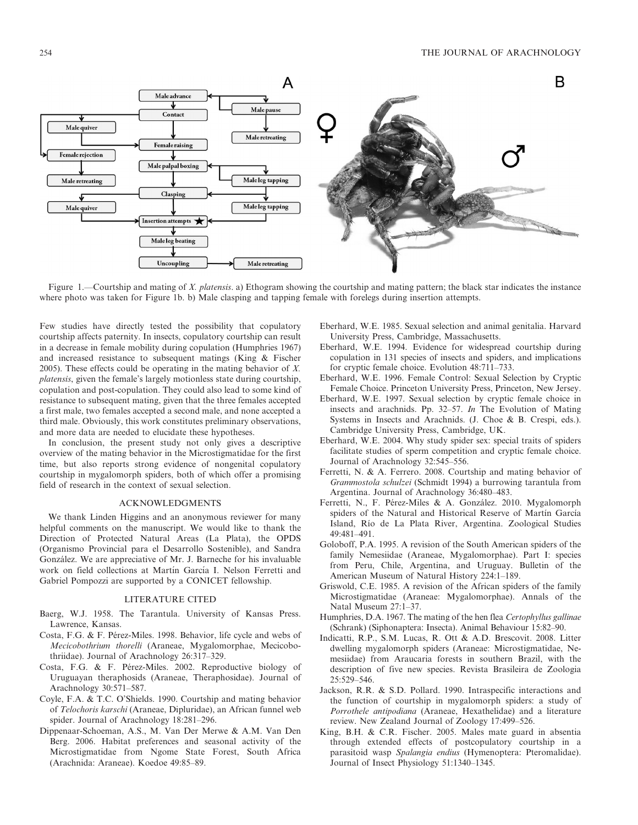

Figure 1.—Courtship and mating of X. platensis. a) Ethogram showing the courtship and mating pattern; the black star indicates the instance where photo was taken for Figure 1b. b) Male clasping and tapping female with forelegs during insertion attempts.

Few studies have directly tested the possibility that copulatory courtship affects paternity. In insects, copulatory courtship can result in a decrease in female mobility during copulation (Humphries 1967) and increased resistance to subsequent matings (King & Fischer 2005). These effects could be operating in the mating behavior of X. platensis, given the female's largely motionless state during courtship, copulation and post-copulation. They could also lead to some kind of resistance to subsequent mating, given that the three females accepted a first male, two females accepted a second male, and none accepted a third male. Obviously, this work constitutes preliminary observations, and more data are needed to elucidate these hypotheses.

In conclusion, the present study not only gives a descriptive overview of the mating behavior in the Microstigmatidae for the first time, but also reports strong evidence of nongenital copulatory courtship in mygalomorph spiders, both of which offer a promising field of research in the context of sexual selection.

### ACKNOWLEDGMENTS

We thank Linden Higgins and an anonymous reviewer for many helpful comments on the manuscript. We would like to thank the Direction of Protected Natural Areas (La Plata), the OPDS (Organismo Provincial para el Desarrollo Sostenible), and Sandra González. We are appreciative of Mr. J. Barneche for his invaluable work on field collections at Martín García I. Nelson Ferretti and Gabriel Pompozzi are supported by a CONICET fellowship.

#### LITERATURE CITED

- Baerg, W.J. 1958. The Tarantula. University of Kansas Press. Lawrence, Kansas.
- Costa, F.G. & F. Pérez-Miles. 1998. Behavior, life cycle and webs of Mecicobothrium thorelli (Araneae, Mygalomorphae, Mecicobothriidae). Journal of Arachnology 26:317–329.
- Costa, F.G. & F. Pérez-Miles. 2002. Reproductive biology of Uruguayan theraphosids (Araneae, Theraphosidae). Journal of Arachnology 30:571–587.
- Coyle, F.A. & T.C. O'Shields. 1990. Courtship and mating behavior of Telochoris karschi (Araneae, Dipluridae), an African funnel web spider. Journal of Arachnology 18:281–296.
- Dippenaar-Schoeman, A.S., M. Van Der Merwe & A.M. Van Den Berg. 2006. Habitat preferences and seasonal activity of the Microstigmatidae from Ngome State Forest, South Africa (Arachnida: Araneae). Koedoe 49:85–89.
- Eberhard, W.E. 1985. Sexual selection and animal genitalia. Harvard University Press, Cambridge, Massachusetts.
- Eberhard, W.E. 1994. Evidence for widespread courtship during copulation in 131 species of insects and spiders, and implications for cryptic female choice. Evolution 48:711–733.
- Eberhard, W.E. 1996. Female Control: Sexual Selection by Cryptic Female Choice. Princeton University Press, Princeton, New Jersey.
- Eberhard, W.E. 1997. Sexual selection by cryptic female choice in insects and arachnids. Pp. 32–57. In The Evolution of Mating Systems in Insects and Arachnids. (J. Choe & B. Crespi, eds.). Cambridge University Press, Cambridge, UK.
- Eberhard, W.E. 2004. Why study spider sex: special traits of spiders facilitate studies of sperm competition and cryptic female choice. Journal of Arachnology 32:545–556.
- Ferretti, N. & A. Ferrero. 2008. Courtship and mating behavior of Grammostola schulzei (Schmidt 1994) a burrowing tarantula from Argentina. Journal of Arachnology 36:480–483.
- Ferretti, N., F. Pérez-Miles & A. González. 2010. Mygalomorph spiders of the Natural and Historical Reserve of Martín García Island, Río de La Plata River, Argentina. Zoological Studies 49:481–491.
- Goloboff, P.A. 1995. A revision of the South American spiders of the family Nemesiidae (Araneae, Mygalomorphae). Part I: species from Peru, Chile, Argentina, and Uruguay. Bulletin of the American Museum of Natural History 224:1–189.
- Griswold, C.E. 1985. A revision of the African spiders of the family Microstigmatidae (Araneae: Mygalomorphae). Annals of the Natal Museum 27:1–37.
- Humphries, D.A. 1967. The mating of the hen flea Certophyllus gallinae (Schrank) (Siphonaptera: Insecta). Animal Behaviour 15:82–90.
- Indicatti, R.P., S.M. Lucas, R. Ott & A.D. Brescovit. 2008. Litter dwelling mygalomorph spiders (Araneae: Microstigmatidae, Nemesiidae) from Araucaria forests in southern Brazil, with the description of five new species. Revista Brasileira de Zoologia 25:529–546.
- Jackson, R.R. & S.D. Pollard. 1990. Intraspecific interactions and the function of courtship in mygalomorph spiders: a study of Porrothele antipodiana (Araneae, Hexathelidae) and a literature review. New Zealand Journal of Zoology 17:499–526.
- King, B.H. & C.R. Fischer. 2005. Males mate guard in absentia through extended effects of postcopulatory courtship in a parasitoid wasp Spalangia endius (Hymenoptera: Pteromalidae). Journal of Insect Physiology 51:1340–1345.